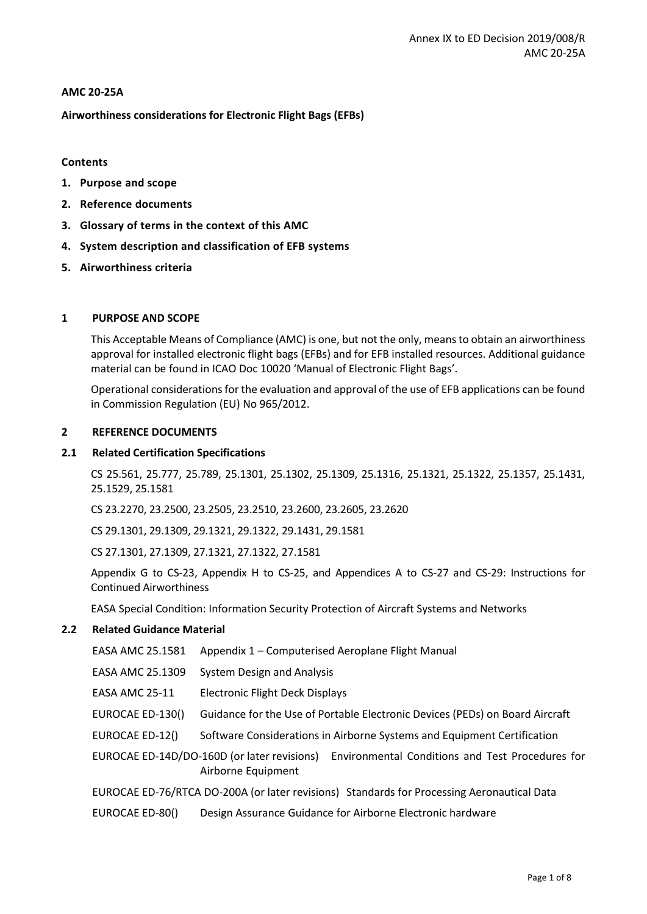# **AMC 20-25A**

**Airworthiness considerations for Electronic Flight Bags (EFBs)**

# **Contents**

- **1. Purpose and scope**
- **2. Reference documents**
- **3. Glossary of terms in the context of this AMC**
- **4. System description and classification of EFB systems**
- **5. Airworthiness criteria**

# **1 PURPOSE AND SCOPE**

This Acceptable Means of Compliance (AMC) is one, but not the only, means to obtain an airworthiness approval for installed electronic flight bags (EFBs) and for EFB installed resources. Additional guidance material can be found in ICAO Doc 10020 'Manual of Electronic Flight Bags'.

Operational considerations for the evaluation and approval of the use of EFB applications can be found in Commission Regulation (EU) No 965/2012.

### **2 REFERENCE DOCUMENTS**

## **2.1 Related Certification Specifications**

CS 25.561, 25.777, 25.789, 25.1301, 25.1302, 25.1309, 25.1316, 25.1321, 25.1322, 25.1357, 25.1431, 25.1529, 25.1581

CS 23.2270, 23.2500, 23.2505, 23.2510, 23.2600, 23.2605, 23.2620

CS 29.1301, 29.1309, 29.1321, 29.1322, 29.1431, 29.1581

CS 27.1301, 27.1309, 27.1321, 27.1322, 27.1581

Appendix G to CS-23, Appendix H to CS-25, and Appendices A to CS-27 and CS-29: Instructions for Continued Airworthiness

EASA Special Condition: Information Security Protection of Aircraft Systems and Networks

# **2.2 Related Guidance Material**

EASA AMC 25.1581 Appendix 1 – Computerised Aeroplane Flight Manual

EASA AMC 25.1309 System Design and Analysis

EASA AMC 25-11 Electronic Flight Deck Displays

- EUROCAE ED-130() Guidance for the Use of Portable Electronic Devices (PEDs) on Board Aircraft
- EUROCAE ED-12() Software Considerations in Airborne Systems and Equipment Certification

EUROCAE ED-14D/DO-160D (or later revisions) Environmental Conditions and Test Procedures for Airborne Equipment

EUROCAE ED-76/RTCA DO-200A (or later revisions) Standards for Processing Aeronautical Data

EUROCAE ED-80() Design Assurance Guidance for Airborne Electronic hardware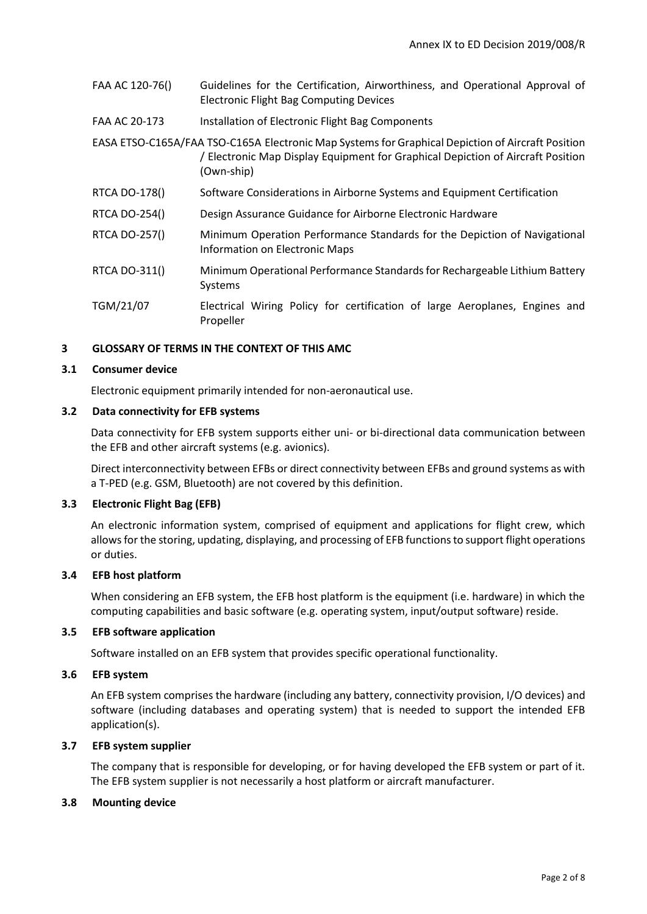| FAA AC 120-76() | Guidelines for the Certification, Airworthiness, and Operational Approval of<br><b>Electronic Flight Bag Computing Devices</b>                                                                     |
|-----------------|----------------------------------------------------------------------------------------------------------------------------------------------------------------------------------------------------|
| FAA AC 20-173   | Installation of Electronic Flight Bag Components                                                                                                                                                   |
|                 | EASA ETSO-C165A/FAA TSO-C165A Electronic Map Systems for Graphical Depiction of Aircraft Position<br>/ Electronic Map Display Equipment for Graphical Depiction of Aircraft Position<br>(Own-ship) |
| RTCA DO-178()   | Software Considerations in Airborne Systems and Equipment Certification                                                                                                                            |
| RTCA DO-254()   | Design Assurance Guidance for Airborne Electronic Hardware                                                                                                                                         |
| RTCA DO-257()   | Minimum Operation Performance Standards for the Depiction of Navigational<br>Information on Electronic Maps                                                                                        |
| RTCA DO-311()   | Minimum Operational Performance Standards for Rechargeable Lithium Battery<br>Systems                                                                                                              |
| TGM/21/07       | Electrical Wiring Policy for certification of large Aeroplanes, Engines and<br>Propeller                                                                                                           |

#### **3 GLOSSARY OF TERMS IN THE CONTEXT OF THIS AMC**

#### **3.1 Consumer device**

Electronic equipment primarily intended for non-aeronautical use.

#### **3.2 Data connectivity for EFB systems**

Data connectivity for EFB system supports either uni- or bi-directional data communication between the EFB and other aircraft systems (e.g. avionics).

Direct interconnectivity between EFBs or direct connectivity between EFBs and ground systems as with a T-PED (e.g. GSM, Bluetooth) are not covered by this definition.

# **3.3 Electronic Flight Bag (EFB)**

An electronic information system, comprised of equipment and applications for flight crew, which allows for the storing, updating, displaying, and processing of EFB functions to support flight operations or duties.

# **3.4 EFB host platform**

When considering an EFB system, the EFB host platform is the equipment (i.e. hardware) in which the computing capabilities and basic software (e.g. operating system, input/output software) reside.

### **3.5 EFB software application**

Software installed on an EFB system that provides specific operational functionality.

### **3.6 EFB system**

An EFB system comprises the hardware (including any battery, connectivity provision, I/O devices) and software (including databases and operating system) that is needed to support the intended EFB application(s).

# **3.7 EFB system supplier**

The company that is responsible for developing, or for having developed the EFB system or part of it. The EFB system supplier is not necessarily a host platform or aircraft manufacturer.

# **3.8 Mounting device**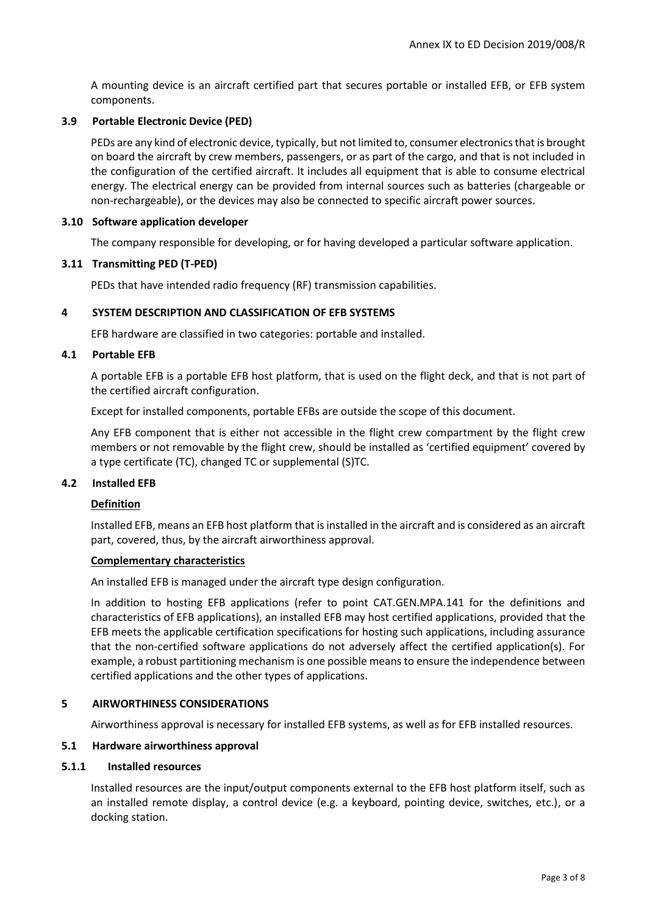A mounting device is an aircraft certified part that secures portable or installed EFB, or EFB system components.

### **3.9 Portable Electronic Device (PED)**

PEDs are any kind of electronic device, typically, but not limited to, consumer electronics that is brought on board the aircraft by crew members, passengers, or as part of the cargo, and that is not included in the configuration of the certified aircraft. It includes all equipment that is able to consume electrical energy. The electrical energy can be provided from internal sources such as batteries (chargeable or non-rechargeable), or the devices may also be connected to specific aircraft power sources.

#### **3.10 Software application developer**

The company responsible for developing, or for having developed a particular software application.

### **3.11 Transmitting PED (T-PED)**

PEDs that have intended radio frequency (RF) transmission capabilities.

### **4 SYSTEM DESCRIPTION AND CLASSIFICATION OF EFB SYSTEMS**

EFB hardware are classified in two categories: portable and installed.

### **4.1 Portable EFB**

A portable EFB is a portable EFB host platform, that is used on the flight deck, and that is not part of the certified aircraft configuration.

Except for installed components, portable EFBs are outside the scope of this document.

Any EFB component that is either not accessible in the flight crew compartment by the flight crew members or not removable by the flight crew, should be installed as 'certified equipment' covered by a type certificate (TC), changed TC or supplemental (S)TC.

### **4.2 Installed EFB**

# **Definition**

Installed EFB, means an EFB host platform that is installed in the aircraft and is considered as an aircraft part, covered, thus, by the aircraft airworthiness approval.

#### **Complementary characteristics**

An installed EFB is managed under the aircraft type design configuration.

In addition to hosting EFB applications (refer to point CAT.GEN.MPA.141 for the definitions and characteristics of EFB applications), an installed EFB may host certified applications, provided that the EFB meets the applicable certification specifications for hosting such applications, including assurance that the non-certified software applications do not adversely affect the certified application(s). For example, a robust partitioning mechanism is one possible means to ensure the independence between certified applications and the other types of applications.

#### **5 AIRWORTHINESS CONSIDERATIONS**

Airworthiness approval is necessary for installed EFB systems, as well as for EFB installed resources.

#### **5.1 Hardware airworthiness approval**

### **5.1.1 Installed resources**

Installed resources are the input/output components external to the EFB host platform itself, such as an installed remote display, a control device (e.g. a keyboard, pointing device, switches, etc.), or a docking station.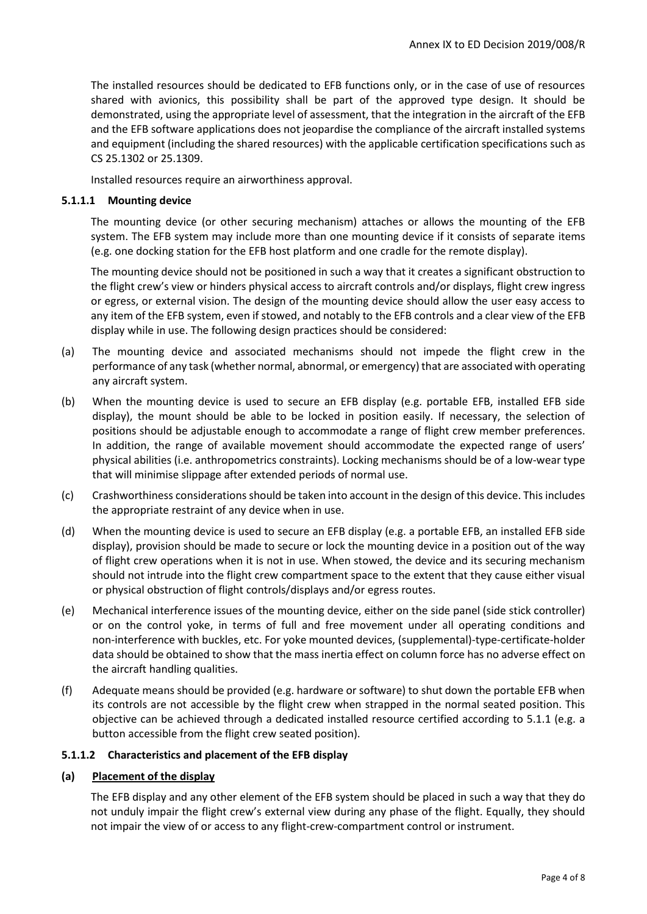The installed resources should be dedicated to EFB functions only, or in the case of use of resources shared with avionics, this possibility shall be part of the approved type design. It should be demonstrated, using the appropriate level of assessment, that the integration in the aircraft of the EFB and the EFB software applications does not jeopardise the compliance of the aircraft installed systems and equipment (including the shared resources) with the applicable certification specifications such as CS 25.1302 or 25.1309.

Installed resources require an airworthiness approval.

### **5.1.1.1 Mounting device**

The mounting device (or other securing mechanism) attaches or allows the mounting of the EFB system. The EFB system may include more than one mounting device if it consists of separate items (e.g. one docking station for the EFB host platform and one cradle for the remote display).

The mounting device should not be positioned in such a way that it creates a significant obstruction to the flight crew's view or hinders physical access to aircraft controls and/or displays, flight crew ingress or egress, or external vision. The design of the mounting device should allow the user easy access to any item of the EFB system, even if stowed, and notably to the EFB controls and a clear view of the EFB display while in use. The following design practices should be considered:

- (a) The mounting device and associated mechanisms should not impede the flight crew in the performance of any task (whether normal, abnormal, or emergency) that are associated with operating any aircraft system.
- (b) When the mounting device is used to secure an EFB display (e.g. portable EFB, installed EFB side display), the mount should be able to be locked in position easily. If necessary, the selection of positions should be adjustable enough to accommodate a range of flight crew member preferences. In addition, the range of available movement should accommodate the expected range of users' physical abilities (i.e. anthropometrics constraints). Locking mechanisms should be of a low-wear type that will minimise slippage after extended periods of normal use.
- (c) Crashworthiness considerations should be taken into account in the design of this device. This includes the appropriate restraint of any device when in use.
- (d) When the mounting device is used to secure an EFB display (e.g. a portable EFB, an installed EFB side display), provision should be made to secure or lock the mounting device in a position out of the way of flight crew operations when it is not in use. When stowed, the device and its securing mechanism should not intrude into the flight crew compartment space to the extent that they cause either visual or physical obstruction of flight controls/displays and/or egress routes.
- (e) Mechanical interference issues of the mounting device, either on the side panel (side stick controller) or on the control yoke, in terms of full and free movement under all operating conditions and non-interference with buckles, etc. For yoke mounted devices, (supplemental)-type-certificate-holder data should be obtained to show that the mass inertia effect on column force has no adverse effect on the aircraft handling qualities.
- (f) Adequate means should be provided (e.g. hardware or software) to shut down the portable EFB when its controls are not accessible by the flight crew when strapped in the normal seated position. This objective can be achieved through a dedicated installed resource certified according to 5.1.1 (e.g. a button accessible from the flight crew seated position).

#### **5.1.1.2 Characteristics and placement of the EFB display**

#### **(a) Placement of the display**

The EFB display and any other element of the EFB system should be placed in such a way that they do not unduly impair the flight crew's external view during any phase of the flight. Equally, they should not impair the view of or access to any flight-crew-compartment control or instrument.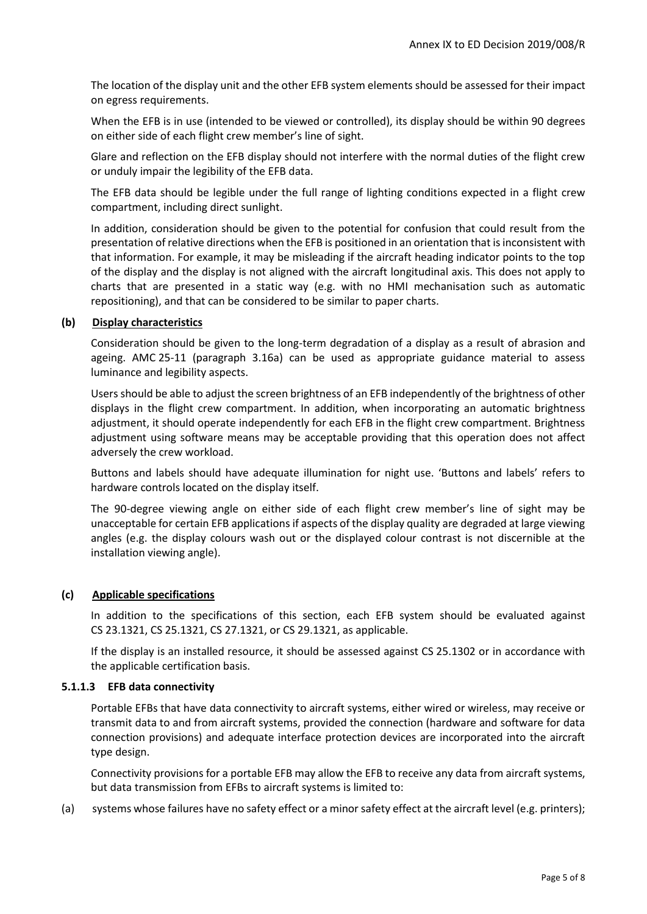The location of the display unit and the other EFB system elements should be assessed for their impact on egress requirements.

When the EFB is in use (intended to be viewed or controlled), its display should be within 90 degrees on either side of each flight crew member's line of sight.

Glare and reflection on the EFB display should not interfere with the normal duties of the flight crew or unduly impair the legibility of the EFB data.

The EFB data should be legible under the full range of lighting conditions expected in a flight crew compartment, including direct sunlight.

In addition, consideration should be given to the potential for confusion that could result from the presentation of relative directions when the EFB is positioned in an orientation that is inconsistent with that information. For example, it may be misleading if the aircraft heading indicator points to the top of the display and the display is not aligned with the aircraft longitudinal axis. This does not apply to charts that are presented in a static way (e.g. with no HMI mechanisation such as automatic repositioning), and that can be considered to be similar to paper charts.

### **(b) Display characteristics**

Consideration should be given to the long-term degradation of a display as a result of abrasion and ageing. AMC 25-11 (paragraph 3.16a) can be used as appropriate guidance material to assess luminance and legibility aspects.

Users should be able to adjust the screen brightness of an EFB independently of the brightness of other displays in the flight crew compartment. In addition, when incorporating an automatic brightness adjustment, it should operate independently for each EFB in the flight crew compartment. Brightness adjustment using software means may be acceptable providing that this operation does not affect adversely the crew workload.

Buttons and labels should have adequate illumination for night use. 'Buttons and labels' refers to hardware controls located on the display itself.

The 90-degree viewing angle on either side of each flight crew member's line of sight may be unacceptable for certain EFB applications if aspects of the display quality are degraded at large viewing angles (e.g. the display colours wash out or the displayed colour contrast is not discernible at the installation viewing angle).

# **(c) Applicable specifications**

In addition to the specifications of this section, each EFB system should be evaluated against CS 23.1321, CS 25.1321, CS 27.1321, or CS 29.1321, as applicable.

If the display is an installed resource, it should be assessed against CS 25.1302 or in accordance with the applicable certification basis.

#### **5.1.1.3 EFB data connectivity**

Portable EFBs that have data connectivity to aircraft systems, either wired or wireless, may receive or transmit data to and from aircraft systems, provided the connection (hardware and software for data connection provisions) and adequate interface protection devices are incorporated into the aircraft type design.

Connectivity provisions for a portable EFB may allow the EFB to receive any data from aircraft systems, but data transmission from EFBs to aircraft systems is limited to:

(a) systems whose failures have no safety effect or a minor safety effect at the aircraft level (e.g. printers);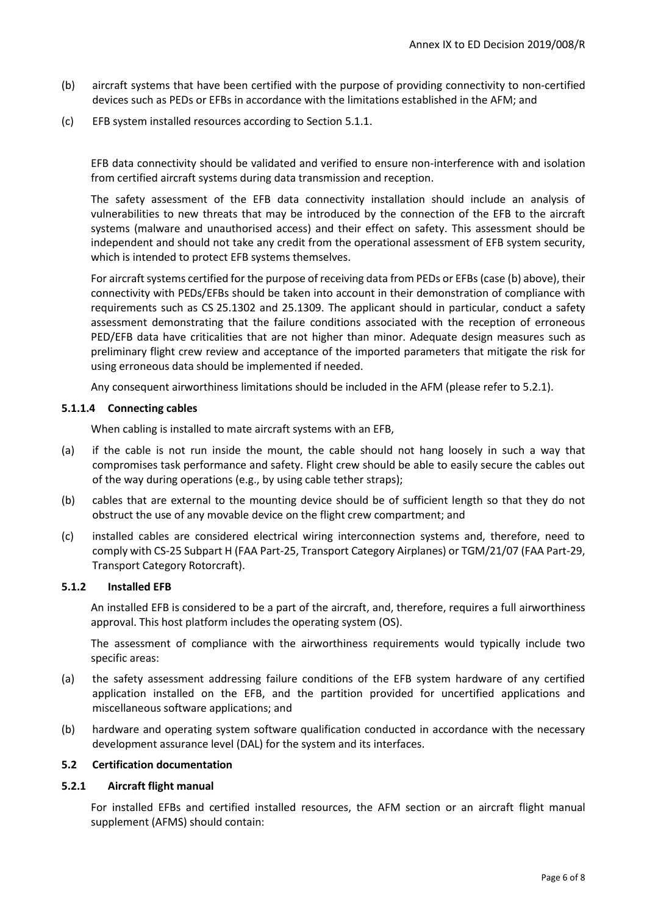- (b) aircraft systems that have been certified with the purpose of providing connectivity to non-certified devices such as PEDs or EFBs in accordance with the limitations established in the AFM; and
- (c) EFB system installed resources according to Section 5.1.1.

EFB data connectivity should be validated and verified to ensure non-interference with and isolation from certified aircraft systems during data transmission and reception.

The safety assessment of the EFB data connectivity installation should include an analysis of vulnerabilities to new threats that may be introduced by the connection of the EFB to the aircraft systems (malware and unauthorised access) and their effect on safety. This assessment should be independent and should not take any credit from the operational assessment of EFB system security, which is intended to protect EFB systems themselves.

For aircraft systems certified for the purpose of receiving data from PEDs or EFBs (case (b) above), their connectivity with PEDs/EFBs should be taken into account in their demonstration of compliance with requirements such as CS 25.1302 and 25.1309. The applicant should in particular, conduct a safety assessment demonstrating that the failure conditions associated with the reception of erroneous PED/EFB data have criticalities that are not higher than minor. Adequate design measures such as preliminary flight crew review and acceptance of the imported parameters that mitigate the risk for using erroneous data should be implemented if needed.

Any consequent airworthiness limitations should be included in the AFM (please refer to 5.2.1).

### **5.1.1.4 Connecting cables**

When cabling is installed to mate aircraft systems with an EFB,

- (a) if the cable is not run inside the mount, the cable should not hang loosely in such a way that compromises task performance and safety. Flight crew should be able to easily secure the cables out of the way during operations (e.g., by using cable tether straps);
- (b) cables that are external to the mounting device should be of sufficient length so that they do not obstruct the use of any movable device on the flight crew compartment; and
- (c) installed cables are considered electrical wiring interconnection systems and, therefore, need to comply with CS-25 Subpart H (FAA Part-25, Transport Category Airplanes) or TGM/21/07 (FAA Part-29, Transport Category Rotorcraft).

#### **5.1.2 Installed EFB**

An installed EFB is considered to be a part of the aircraft, and, therefore, requires a full airworthiness approval. This host platform includes the operating system (OS).

The assessment of compliance with the airworthiness requirements would typically include two specific areas:

- (a) the safety assessment addressing failure conditions of the EFB system hardware of any certified application installed on the EFB, and the partition provided for uncertified applications and miscellaneous software applications; and
- (b) hardware and operating system software qualification conducted in accordance with the necessary development assurance level (DAL) for the system and its interfaces.

## **5.2 Certification documentation**

# **5.2.1 Aircraft flight manual**

For installed EFBs and certified installed resources, the AFM section or an aircraft flight manual supplement (AFMS) should contain: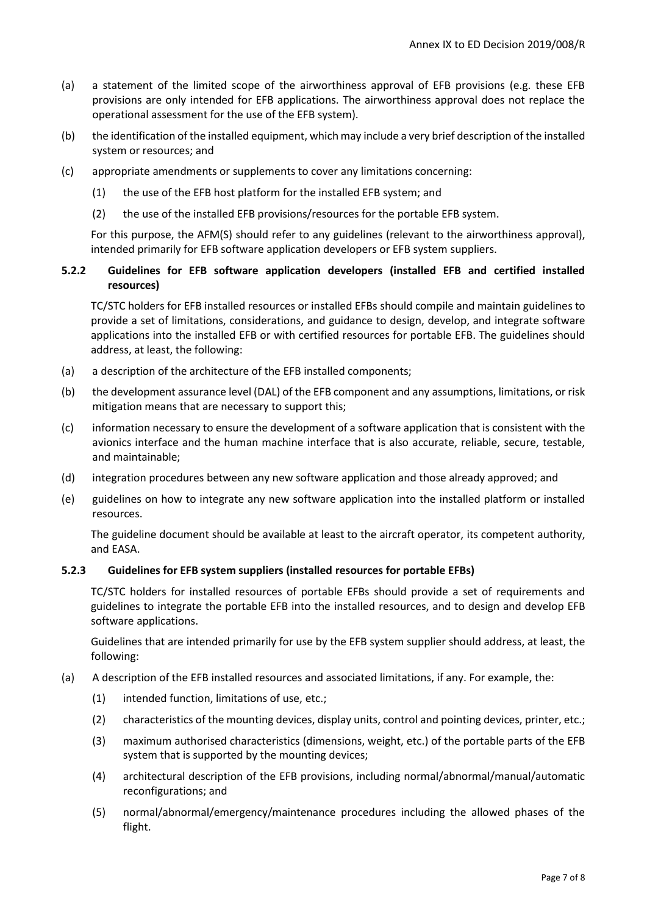- (a) a statement of the limited scope of the airworthiness approval of EFB provisions (e.g. these EFB provisions are only intended for EFB applications. The airworthiness approval does not replace the operational assessment for the use of the EFB system).
- (b) the identification of the installed equipment, which may include a very brief description of the installed system or resources; and
- (c) appropriate amendments or supplements to cover any limitations concerning:
	- (1) the use of the EFB host platform for the installed EFB system; and
	- (2) the use of the installed EFB provisions/resources for the portable EFB system.

For this purpose, the AFM(S) should refer to any guidelines (relevant to the airworthiness approval), intended primarily for EFB software application developers or EFB system suppliers.

# **5.2.2 Guidelines for EFB software application developers (installed EFB and certified installed resources)**

TC/STC holders for EFB installed resources or installed EFBs should compile and maintain guidelines to provide a set of limitations, considerations, and guidance to design, develop, and integrate software applications into the installed EFB or with certified resources for portable EFB. The guidelines should address, at least, the following:

- (a) a description of the architecture of the EFB installed components;
- (b) the development assurance level (DAL) of the EFB component and any assumptions, limitations, or risk mitigation means that are necessary to support this;
- (c) information necessary to ensure the development of a software application that is consistent with the avionics interface and the human machine interface that is also accurate, reliable, secure, testable, and maintainable;
- (d) integration procedures between any new software application and those already approved; and
- (e) guidelines on how to integrate any new software application into the installed platform or installed resources.

The guideline document should be available at least to the aircraft operator, its competent authority, and EASA.

#### **5.2.3 Guidelines for EFB system suppliers (installed resources for portable EFBs)**

TC/STC holders for installed resources of portable EFBs should provide a set of requirements and guidelines to integrate the portable EFB into the installed resources, and to design and develop EFB software applications.

Guidelines that are intended primarily for use by the EFB system supplier should address, at least, the following:

- (a) A description of the EFB installed resources and associated limitations, if any. For example, the:
	- (1) intended function, limitations of use, etc.;
	- (2) characteristics of the mounting devices, display units, control and pointing devices, printer, etc.;
	- (3) maximum authorised characteristics (dimensions, weight, etc.) of the portable parts of the EFB system that is supported by the mounting devices;
	- (4) architectural description of the EFB provisions, including normal/abnormal/manual/automatic reconfigurations; and
	- (5) normal/abnormal/emergency/maintenance procedures including the allowed phases of the flight.